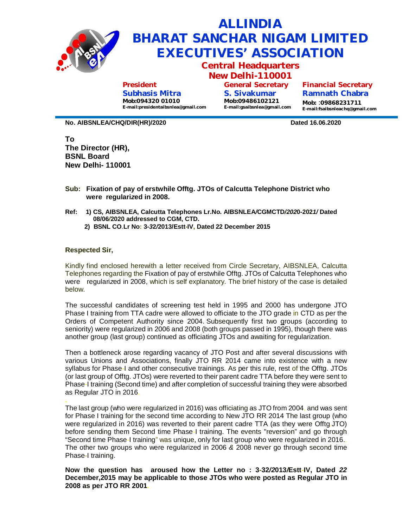

## **ALLINDIA BHARAT SANCHAR NIGAM LIMITED EXECUTIVES' ASSOCIATION**

**Central Headquarters**

**New Delhi-110001 General Secretary**

**President Subhasis Mitra** 

**Mob:094320 01010 [E-mail:presidentaibsnlea@gmail.com](mailto:E-mail:presidentaibsnlea@gmail.com)** **S. Sivakumar Mob:09486102121 [E-mail:gsaibsnlea@gmail.com](mailto:E-mail:gsaibsnlea@gmail.com)** **Financial Secretary Ramnath Chabra**

**Mob:** :**09868231711 [E-mail:fsaibsnleachq@gmail.com](mailto:E-mail:fsaibsnleachq@gmail.com)**

**No. AIBSNLEA/CHQ/DIR(HR)/2020 Dated 16.06.2020**

**To The Director (HR), BSNL Board New Delhi- 110001**

- **Sub: Fixation of pay of erstwhile Offtg. JTOs of Calcutta Telephone District who were regulari***z***ed in 2008.**
- **Ref: 1) CS, AIBSNLEA, Calcutta Telephones Lr.No. AIBSNLEA***/***CGMCTD***/202***0-202***1/* **Dated 08/06***/***2020 addressed to CGM, CTD.**
	- **2) BSNL CO**.**Lr No: 3-***3***2***/***2013/Estt-IV, Dated 22 December 2015**

## **Respected Sir,**

Kindly find enclosed herewith a letter received from Circle Secretary, AIBSNLEA, Calcutta Telephones regarding the Fixation of pay of erstwhile Offtg. JTOs of Calcutta Telephones who wereregulari*z*ed in 2008, which is self explanatory. The brief history of the case is detailed below.

The successful candidates of screening test held in 1995 and 2000 has undergone JTO Phase I training from TTA cadre were allowed to officiate to the JTO grade in CTD as per the Orders of Competent Authority since 2004. Subsequently first two groups (according to seniority) were regularized in 2006 and 2008 (both groups passed in 1995), though there was another group (last group) continued as officiating JTOs and awaiting for regularization.

Then a bottleneck arose regarding vacancy of JTO Post and after several discussions with various Unions and Associations, finally JTO RR 2014 came into existence with a new syllabus for Phase-I and other consecutive trainings. As per this rule, rest of the Offtg. JTOs (or last group of Offtg. JTOs) were reverted to their parent cadre TTA before they were sent to Phase-I training (Second time) and after completion of successful training they were absorbed as Regular JTO in 2016.

**.** The last group (who were regularized in 2016) was officiating as JTO from 2004, and was sent for Phase I training for the second time according to New JTO RR 2014 The last group (who were regularized in 2016) was reverted to their parent cadre TTA (as they were Offtg.JTO) before sending them Second time Phase-I training. The events "reversion" and go through "Second time Phase-I training" was unique, only for last group who were regularized in 2016.. The other two groups who were regularized in 2006 *&* 2008 never go through second time Phase-I training.

**Now the question has aroused how the Letter no : 3-32***/2***013***/***Estt-IV, Dated** *22* **December,2015 may be applicable to those JTOs who were posted as Regular JTO in 2008 as per JTO RR 2001.**